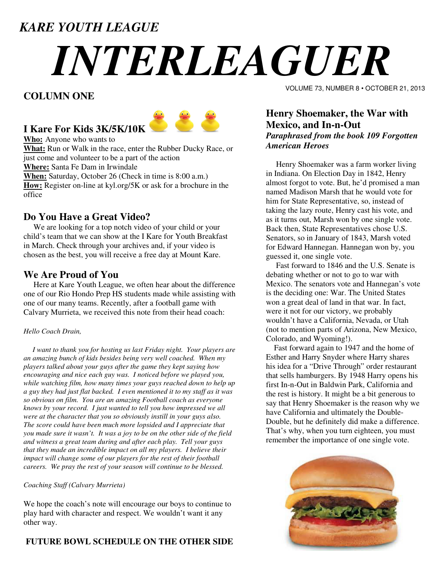# *KARE YOUTH LEAGUE*

# *INTERLEAGUER*

# **COLUMN ONE**



# **I Kare For Kids 3K/5K/10K**

**Who:** Anyone who wants to

**What:** Run or Walk in the race, enter the Rubber Ducky Race, or just come and volunteer to be a part of the action **Where:** Santa Fe Dam in Irwindale **When:** Saturday, October 26 (Check in time is 8:00 a.m.) **How:** Register on-line at kyl.org/5K or ask for a brochure in the office

# **Do You Have a Great Video?**

 We are looking for a top notch video of your child or your child's team that we can show at the I Kare for Youth Breakfast in March. Check through your archives and, if your video is chosen as the best, you will receive a free day at Mount Kare.

### **We Are Proud of You**

 Here at Kare Youth League, we often hear about the difference one of our Rio Hondo Prep HS students made while assisting with one of our many teams. Recently, after a football game with Calvary Murrieta, we received this note from their head coach:

### *Hello Coach Drain,*

 *I want to thank you for hosting us last Friday night. Your players are an amazing bunch of kids besides being very well coached. When my players talked about your guys after the game they kept saying how encouraging and nice each guy was. I noticed before we played you, while watching film, how many times your guys reached down to help up a guy they had just flat backed. I even mentioned it to my staff as it was so obvious on film. You are an amazing Football coach as everyone knows by your record. I just wanted to tell you how impressed we all were at the character that you so obviously instill in your guys also. The score could have been much more lopsided and I appreciate that you made sure it wasn't. It was a joy to be on the other side of the field and witness a great team during and after each play. Tell your guys that they made an incredible impact on all my players. I believe their impact will change some of our players for the rest of their football careers. We pray the rest of your season will continue to be blessed.* 

### *Coaching Staff (Calvary Murrieta)*

We hope the coach's note will encourage our boys to continue to play hard with character and respect. We wouldn't want it any other way.

### **FUTURE BOWL SCHEDULE ON THE OTHER SIDE**

VOLUME 73, NUMBER 8 • OCTOBER 21, 2013

### **Henry Shoemaker, the War with Mexico, and In-n-Out**  *Paraphrased from the book 109 Forgotten American Heroes*

 Henry Shoemaker was a farm worker living in Indiana. On Election Day in 1842, Henry almost forgot to vote. But, he'd promised a man named Madison Marsh that he would vote for him for State Representative, so, instead of taking the lazy route, Henry cast his vote, and as it turns out, Marsh won by one single vote. Back then, State Representatives chose U.S. Senators, so in January of 1843, Marsh voted for Edward Hannegan. Hannegan won by, you guessed it, one single vote.

 Fast forward to 1846 and the U.S. Senate is debating whether or not to go to war with Mexico. The senators vote and Hannegan's vote is the deciding one: War. The United States won a great deal of land in that war. In fact, were it not for our victory, we probably wouldn't have a California, Nevada, or Utah (not to mention parts of Arizona, New Mexico, Colorado, and Wyoming!).

 Fast forward again to 1947 and the home of Esther and Harry Snyder where Harry shares his idea for a "Drive Through" order restaurant that sells hamburgers. By 1948 Harry opens his first In-n-Out in Baldwin Park, California and the rest is history. It might be a bit generous to say that Henry Shoemaker is the reason why we have California and ultimately the Double-Double, but he definitely did make a difference. That's why, when you turn eighteen, you must remember the importance of one single vote.